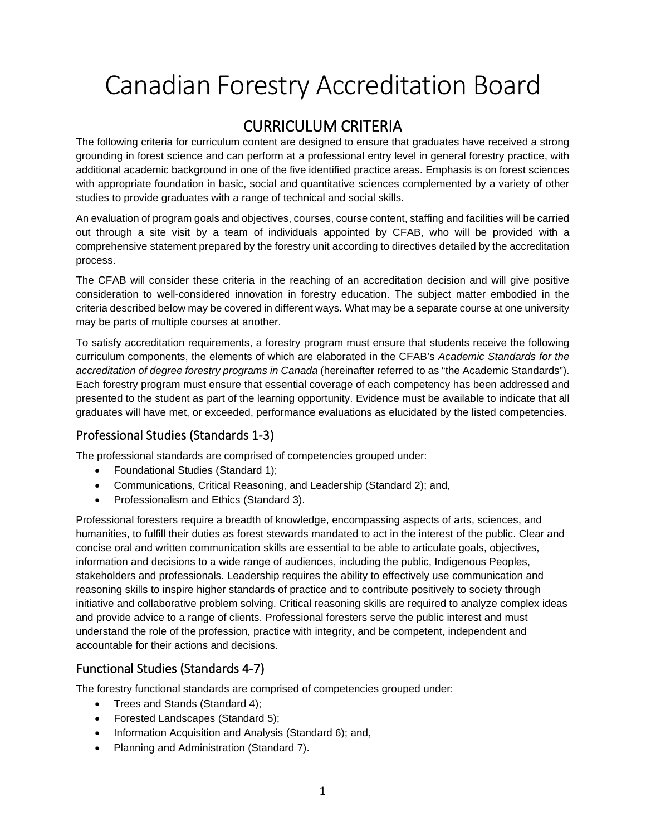# Canadian Forestry Accreditation Board

# CURRICULUM CRITERIA

The following criteria for curriculum content are designed to ensure that graduates have received a strong grounding in forest science and can perform at a professional entry level in general forestry practice, with additional academic background in one of the five identified practice areas. Emphasis is on forest sciences with appropriate foundation in basic, social and quantitative sciences complemented by a variety of other studies to provide graduates with a range of technical and social skills.

An evaluation of program goals and objectives, courses, course content, staffing and facilities will be carried out through a site visit by a team of individuals appointed by CFAB, who will be provided with a comprehensive statement prepared by the forestry unit according to directives detailed by the accreditation process.

The CFAB will consider these criteria in the reaching of an accreditation decision and will give positive consideration to well-considered innovation in forestry education. The subject matter embodied in the criteria described below may be covered in different ways. What may be a separate course at one university may be parts of multiple courses at another.

To satisfy accreditation requirements, a forestry program must ensure that students receive the following curriculum components, the elements of which are elaborated in the CFAB's *Academic Standards for the accreditation of degree forestry programs in Canada* (hereinafter referred to as "the Academic Standards"). Each forestry program must ensure that essential coverage of each competency has been addressed and presented to the student as part of the learning opportunity. Evidence must be available to indicate that all graduates will have met, or exceeded, performance evaluations as elucidated by the listed competencies.

## Professional Studies (Standards 1-3)

The professional standards are comprised of competencies grouped under:

- Foundational Studies (Standard 1);
- Communications, Critical Reasoning, and Leadership (Standard 2); and,
- Professionalism and Ethics (Standard 3).

Professional foresters require a breadth of knowledge, encompassing aspects of arts, sciences, and humanities, to fulfill their duties as forest stewards mandated to act in the interest of the public. Clear and concise oral and written communication skills are essential to be able to articulate goals, objectives, information and decisions to a wide range of audiences, including the public, Indigenous Peoples, stakeholders and professionals. Leadership requires the ability to effectively use communication and reasoning skills to inspire higher standards of practice and to contribute positively to society through initiative and collaborative problem solving. Critical reasoning skills are required to analyze complex ideas and provide advice to a range of clients. Professional foresters serve the public interest and must understand the role of the profession, practice with integrity, and be competent, independent and accountable for their actions and decisions.

## Functional Studies (Standards 4-7)

The forestry functional standards are comprised of competencies grouped under:

- Trees and Stands (Standard 4);
- Forested Landscapes (Standard 5);
- Information Acquisition and Analysis (Standard 6); and,
- Planning and Administration (Standard 7).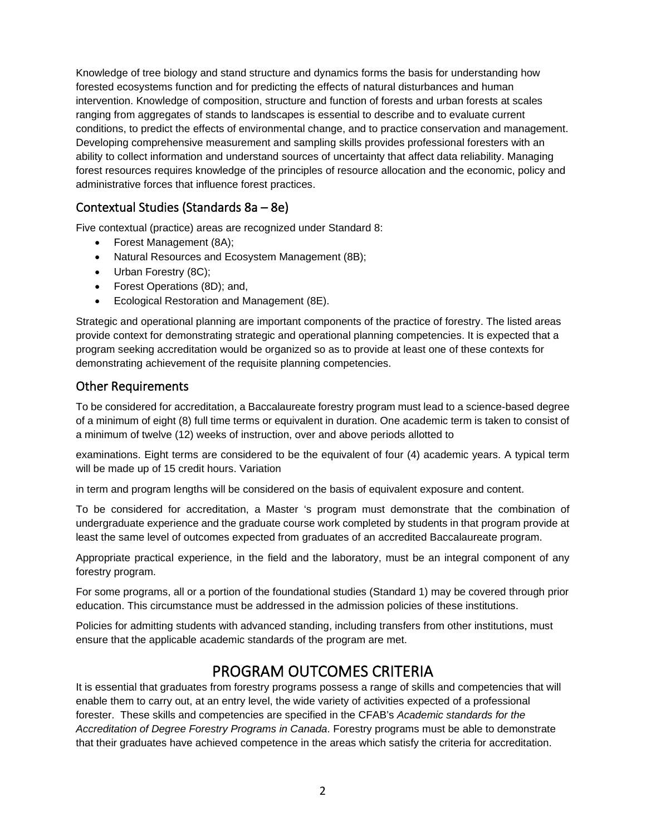Knowledge of tree biology and stand structure and dynamics forms the basis for understanding how forested ecosystems function and for predicting the effects of natural disturbances and human intervention. Knowledge of composition, structure and function of forests and urban forests at scales ranging from aggregates of stands to landscapes is essential to describe and to evaluate current conditions, to predict the effects of environmental change, and to practice conservation and management. Developing comprehensive measurement and sampling skills provides professional foresters with an ability to collect information and understand sources of uncertainty that affect data reliability. Managing forest resources requires knowledge of the principles of resource allocation and the economic, policy and administrative forces that influence forest practices.

#### Contextual Studies (Standards 8a – 8e)

Five contextual (practice) areas are recognized under Standard 8:

- Forest Management (8A);
- Natural Resources and Ecosystem Management (8B);
- Urban Forestry (8C);
- Forest Operations (8D); and,
- Ecological Restoration and Management (8E).

Strategic and operational planning are important components of the practice of forestry. The listed areas provide context for demonstrating strategic and operational planning competencies. It is expected that a program seeking accreditation would be organized so as to provide at least one of these contexts for demonstrating achievement of the requisite planning competencies.

#### Other Requirements

To be considered for accreditation, a Baccalaureate forestry program must lead to a science-based degree of a minimum of eight (8) full time terms or equivalent in duration. One academic term is taken to consist of a minimum of twelve (12) weeks of instruction, over and above periods allotted to

examinations. Eight terms are considered to be the equivalent of four (4) academic years. A typical term will be made up of 15 credit hours. Variation

in term and program lengths will be considered on the basis of equivalent exposure and content.

To be considered for accreditation, a Master 's program must demonstrate that the combination of undergraduate experience and the graduate course work completed by students in that program provide at least the same level of outcomes expected from graduates of an accredited Baccalaureate program.

Appropriate practical experience, in the field and the laboratory, must be an integral component of any forestry program.

For some programs, all or a portion of the foundational studies (Standard 1) may be covered through prior education. This circumstance must be addressed in the admission policies of these institutions.

Policies for admitting students with advanced standing, including transfers from other institutions, must ensure that the applicable academic standards of the program are met.

# PROGRAM OUTCOMES CRITERIA

It is essential that graduates from forestry programs possess a range of skills and competencies that will enable them to carry out, at an entry level, the wide variety of activities expected of a professional forester. These skills and competencies are specified in the CFAB's *Academic standards for the Accreditation of Degree Forestry Programs in Canada*. Forestry programs must be able to demonstrate that their graduates have achieved competence in the areas which satisfy the criteria for accreditation.